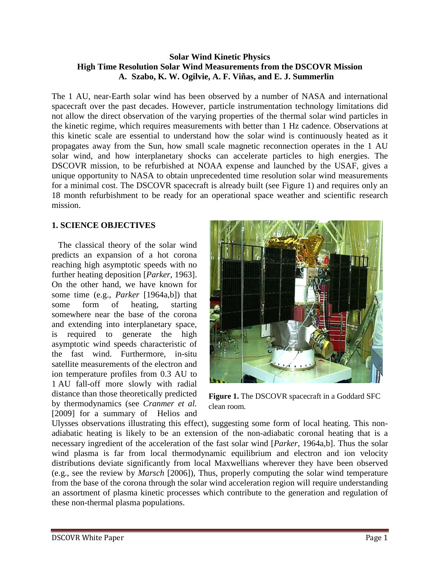## **Solar Wind Kinetic Physics High Time Resolution Solar Wind Measurements from the DSCOVR Mission A. Szabo, K. W. Ogilvie, A. F. Viñas, and E. J. Summerlin**

The 1 AU, near-Earth solar wind has been observed by a number of NASA and international spacecraft over the past decades. However, particle instrumentation technology limitations did not allow the direct observation of the varying properties of the thermal solar wind particles in the kinetic regime, which requires measurements with better than 1 Hz cadence. Observations at this kinetic scale are essential to understand how the solar wind is continuously heated as it propagates away from the Sun, how small scale magnetic reconnection operates in the 1 AU solar wind, and how interplanetary shocks can accelerate particles to high energies. The DSCOVR mission, to be refurbished at NOAA expense and launched by the USAF, gives a unique opportunity to NASA to obtain unprecedented time resolution solar wind measurements for a minimal cost. The DSCOVR spacecraft is already built (see Figure 1) and requires only an 18 month refurbishment to be ready for an operational space weather and scientific research mission.

# **1. SCIENCE OBJECTIVES**

 The classical theory of the solar wind predicts an expansion of a hot corona reaching high asymptotic speeds with no further heating deposition [*Parker*, 1963]. On the other hand, we have known for some time (e.g., *Parker* [1964a,b]) that some form of heating, starting somewhere near the base of the corona and extending into interplanetary space, is required to generate the high asymptotic wind speeds characteristic of the fast wind. Furthermore, in-situ satellite measurements of the electron and ion temperature profiles from 0.3 AU to 1 AU fall-off more slowly with radial distance than those theoretically predicted by thermodynamics (see *Cranmer et al.* [2009] for a summary of Helios and



**Figure 1.** The DSCOVR spacecraft in a Goddard SFC clean room.

Ulysses observations illustrating this effect), suggesting some form of local heating. This nonadiabatic heating is likely to be an extension of the non-adiabatic coronal heating that is a necessary ingredient of the acceleration of the fast solar wind [*Parker*, 1964a,b]. Thus the solar wind plasma is far from local thermodynamic equilibrium and electron and ion velocity distributions deviate significantly from local Maxwellians wherever they have been observed (e.g., see the review by *Marsch* [2006]), Thus, properly computing the solar wind temperature from the base of the corona through the solar wind acceleration region will require understanding an assortment of plasma kinetic processes which contribute to the generation and regulation of these non-thermal plasma populations.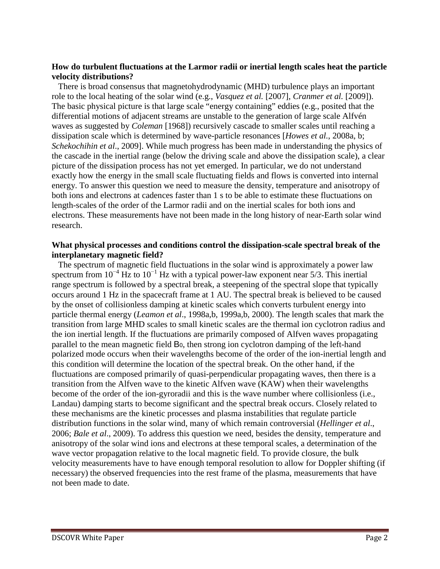## **How do turbulent fluctuations at the Larmor radii or inertial length scales heat the particle velocity distributions?**

 There is broad consensus that magnetohydrodynamic (MHD) turbulence plays an important role to the local heating of the solar wind (e.g., *Vasquez et al.* [2007], *Cranmer et al.* [2009]). The basic physical picture is that large scale "energy containing" eddies (e.g., posited that the differential motions of adjacent streams are unstable to the generation of large scale Alfvén waves as suggested by *Coleman* [1968]) recursively cascade to smaller scales until reaching a dissipation scale which is determined by wave-particle resonances [*Howes et al.*, 2008a, b; *Schekochihin et al*., 2009]. While much progress has been made in understanding the physics of the cascade in the inertial range (below the driving scale and above the dissipation scale), a clear picture of the dissipation process has not yet emerged. In particular, we do not understand exactly how the energy in the small scale fluctuating fields and flows is converted into internal energy. To answer this question we need to measure the density, temperature and anisotropy of both ions and electrons at cadences faster than 1 s to be able to estimate these fluctuations on length-scales of the order of the Larmor radii and on the inertial scales for both ions and electrons. These measurements have not been made in the long history of near-Earth solar wind research.

### **What physical processes and conditions control the dissipation-scale spectral break of the interplanetary magnetic field?**

 The spectrum of magnetic field fluctuations in the solar wind is approximately a power law spectrum from  $10^{-4}$  Hz to  $10^{-1}$  Hz with a typical power-law exponent near 5/3. This inertial range spectrum is followed by a spectral break, a steepening of the spectral slope that typically occurs around 1 Hz in the spacecraft frame at 1 AU. The spectral break is believed to be caused by the onset of collisionless damping at kinetic scales which converts turbulent energy into particle thermal energy (*Leamon et al*., 1998a,b, 1999a,b, 2000). The length scales that mark the transition from large MHD scales to small kinetic scales are the thermal ion cyclotron radius and the ion inertial length. If the fluctuations are primarily composed of Alfven waves propagating parallel to the mean magnetic field B0, then strong ion cyclotron damping of the left-hand polarized mode occurs when their wavelengths become of the order of the ion-inertial length and this condition will determine the location of the spectral break. On the other hand, if the fluctuations are composed primarily of quasi-perpendicular propagating waves, then there is a transition from the Alfven wave to the kinetic Alfven wave (KAW) when their wavelengths become of the order of the ion-gyroradii and this is the wave number where collisionless (i.e., Landau) damping starts to become significant and the spectral break occurs. Closely related to these mechanisms are the kinetic processes and plasma instabilities that regulate particle distribution functions in the solar wind, many of which remain controversial (*Hellinger et al*., 2006; *Bale et al*., 2009). To address this question we need, besides the density, temperature and anisotropy of the solar wind ions and electrons at these temporal scales, a determination of the wave vector propagation relative to the local magnetic field. To provide closure, the bulk velocity measurements have to have enough temporal resolution to allow for Doppler shifting (if necessary) the observed frequencies into the rest frame of the plasma, measurements that have not been made to date.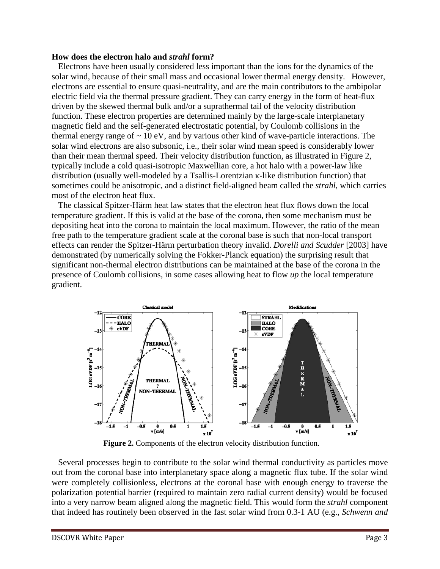#### **How does the electron halo and** *strahl* **form?**

 Electrons have been usually considered less important than the ions for the dynamics of the solar wind, because of their small mass and occasional lower thermal energy density. However, electrons are essential to ensure quasi-neutrality, and are the main contributors to the ambipolar electric field via the thermal pressure gradient. They can carry energy in the form of heat-flux driven by the skewed thermal bulk and/or a suprathermal tail of the velocity distribution function. These electron properties are determined mainly by the large-scale interplanetary magnetic field and the self-generated electrostatic potential, by Coulomb collisions in the thermal energy range of  $\sim 10$  eV, and by various other kind of wave-particle interactions. The solar wind electrons are also subsonic, i.e., their solar wind mean speed is considerably lower than their mean thermal speed. Their velocity distribution function, as illustrated in Figure 2, typically include a cold quasi-isotropic Maxwellian core, a hot halo with a power-law like distribution (usually well-modeled by a Tsallis-Lorentzian κ-like distribution function) that sometimes could be anisotropic, and a distinct field-aligned beam called the *strahl*, which carries most of the electron heat flux.

 The classical Spitzer-Härm heat law states that the electron heat flux flows down the local temperature gradient. If this is valid at the base of the corona, then some mechanism must be depositing heat into the corona to maintain the local maximum. However, the ratio of the mean free path to the temperature gradient scale at the coronal base is such that non-local transport effects can render the Spitzer-Härm perturbation theory invalid. *Dorelli and Scudder* [2003] have demonstrated (by numerically solving the Fokker-Planck equation) the surprising result that significant non-thermal electron distributions can be maintained at the base of the corona in the presence of Coulomb collisions, in some cases allowing heat to flow *up* the local temperature gradient.



**Figure 2.** Components of the electron velocity distribution function.

 Several processes begin to contribute to the solar wind thermal conductivity as particles move out from the coronal base into interplanetary space along a magnetic flux tube. If the solar wind were completely collisionless, electrons at the coronal base with enough energy to traverse the polarization potential barrier (required to maintain zero radial current density) would be focused into a very narrow beam aligned along the magnetic field. This would form the *strahl* component that indeed has routinely been observed in the fast solar wind from 0.3-1 AU (e.g., *Schwenn and*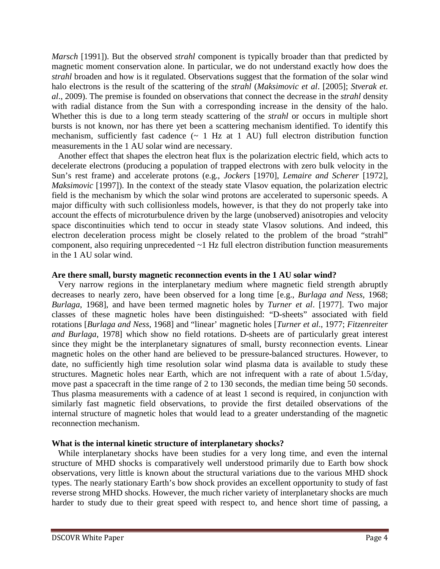*Marsch* [1991]). But the observed *strahl* component is typically broader than that predicted by magnetic moment conservation alone. In particular, we do not understand exactly how does the *strahl* broaden and how is it regulated. Observations suggest that the formation of the solar wind halo electrons is the result of the scattering of the *strahl* (*Maksimovic et al*. [2005]; *Stverak et. al*., 2009). The premise is founded on observations that connect the decrease in the *strahl* density with radial distance from the Sun with a corresponding increase in the density of the halo. Whether this is due to a long term steady scattering of the *strahl* or occurs in multiple short bursts is not known, nor has there yet been a scattering mechanism identified. To identify this mechanism, sufficiently fast cadence  $({\sim 1 \text{ Hz at 1 AU}})$  full electron distribution function measurements in the 1 AU solar wind are necessary.

 Another effect that shapes the electron heat flux is the polarization electric field, which acts to decelerate electrons (producing a population of trapped electrons with zero bulk velocity in the Sun's rest frame) and accelerate protons (e.g., *Jockers* [1970], *Lemaire and Scherer* [1972], *Maksimovic* [1997]). In the context of the steady state Vlasov equation, the polarization electric field is the mechanism by which the solar wind protons are accelerated to supersonic speeds. A major difficulty with such collisionless models, however, is that they do not properly take into account the effects of microturbulence driven by the large (unobserved) anisotropies and velocity space discontinuities which tend to occur in steady state Vlasov solutions. And indeed, this electron deceleration process might be closely related to the problem of the broad "strahl" component, also requiring unprecedented ~1 Hz full electron distribution function measurements in the 1 AU solar wind.

### **Are there small, bursty magnetic reconnection events in the 1 AU solar wind?**

 Very narrow regions in the interplanetary medium where magnetic field strength abruptly decreases to nearly zero, have been observed for a long time [e.g., *Burlaga and Ness*, 1968; *Burlaga*, 1968], and have been termed magnetic holes by *Turner et al*. [1977]. Two major classes of these magnetic holes have been distinguished: "D-sheets" associated with field rotations [*Burlaga and Ness*, 1968] and "linear' magnetic holes [*Turner et al*., 1977; *Fitzenreiter and Burlaga*, 1978] which show no field rotations. D-sheets are of particularly great interest since they might be the interplanetary signatures of small, bursty reconnection events. Linear magnetic holes on the other hand are believed to be pressure-balanced structures. However, to date, no sufficiently high time resolution solar wind plasma data is available to study these structures. Magnetic holes near Earth, which are not infrequent with a rate of about 1.5/day, move past a spacecraft in the time range of 2 to 130 seconds, the median time being 50 seconds. Thus plasma measurements with a cadence of at least 1 second is required, in conjunction with similarly fast magnetic field observations, to provide the first detailed observations of the internal structure of magnetic holes that would lead to a greater understanding of the magnetic reconnection mechanism.

### **What is the internal kinetic structure of interplanetary shocks?**

 While interplanetary shocks have been studies for a very long time, and even the internal structure of MHD shocks is comparatively well understood primarily due to Earth bow shock observations, very little is known about the structural variations due to the various MHD shock types. The nearly stationary Earth's bow shock provides an excellent opportunity to study of fast reverse strong MHD shocks. However, the much richer variety of interplanetary shocks are much harder to study due to their great speed with respect to, and hence short time of passing, a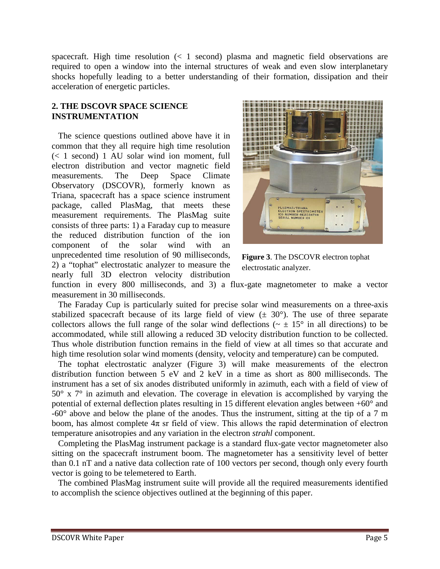spacecraft. High time resolution  $\left($  < 1 second) plasma and magnetic field observations are required to open a window into the internal structures of weak and even slow interplanetary shocks hopefully leading to a better understanding of their formation, dissipation and their acceleration of energetic particles.

## **2. THE DSCOVR SPACE SCIENCE INSTRUMENTATION**

 The science questions outlined above have it in common that they all require high time resolution (< 1 second) 1 AU solar wind ion moment, full electron distribution and vector magnetic field measurements. The Deep Space Climate Observatory (DSCOVR), formerly known as Triana, spacecraft has a space science instrument package, called PlasMag, that meets these measurement requirements. The PlasMag suite consists of three parts: 1) a Faraday cup to measure the reduced distribution function of the ion component of the solar wind with an unprecedented time resolution of 90 milliseconds, 2) a "tophat" electrostatic analyzer to measure the nearly full 3D electron velocity distribution



**Figure 3**. The DSCOVR electron tophat electrostatic analyzer.

function in every 800 milliseconds, and 3) a flux-gate magnetometer to make a vector measurement in 30 milliseconds.

 The Faraday Cup is particularly suited for precise solar wind measurements on a three-axis stabilized spacecraft because of its large field of view  $(\pm 30^{\circ})$ . The use of three separate collectors allows the full range of the solar wind deflections ( $\sim \pm 15^{\circ}$  in all directions) to be accommodated, while still allowing a reduced 3D velocity distribution function to be collected. Thus whole distribution function remains in the field of view at all times so that accurate and high time resolution solar wind moments (density, velocity and temperature) can be computed.

 The tophat electrostatic analyzer (Figure 3) will make measurements of the electron distribution function between 5 eV and 2 keV in a time as short as 800 milliseconds. The instrument has a set of six anodes distributed uniformly in azimuth, each with a field of view of 50° x 7° in azimuth and elevation. The coverage in elevation is accomplished by varying the potential of external deflection plates resulting in 15 different elevation angles between +60° and -60° above and below the plane of the anodes. Thus the instrument, sitting at the tip of a 7 m boom, has almost complete  $4\pi$  sr field of view. This allows the rapid determination of electron temperature anisotropies and any variation in the electron *strahl* component.

 Completing the PlasMag instrument package is a standard flux-gate vector magnetometer also sitting on the spacecraft instrument boom. The magnetometer has a sensitivity level of better than 0.1 nT and a native data collection rate of 100 vectors per second, though only every fourth vector is going to be telemetered to Earth.

 The combined PlasMag instrument suite will provide all the required measurements identified to accomplish the science objectives outlined at the beginning of this paper.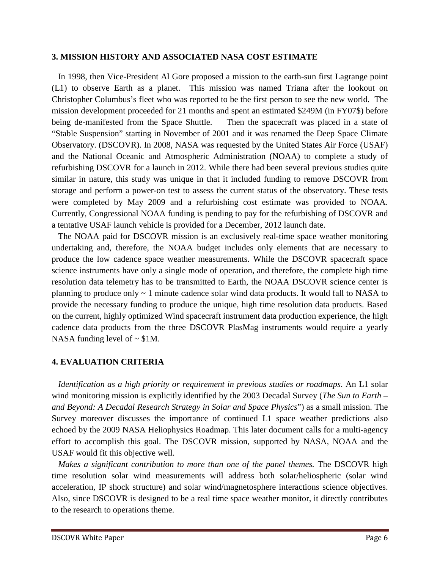### **3. MISSION HISTORY AND ASSOCIATED NASA COST ESTIMATE**

 In 1998, then Vice-President Al Gore proposed a mission to the earth-sun first Lagrange point (L1) to observe Earth as a planet. This mission was named Triana after the lookout on Christopher Columbus's fleet who was reported to be the first person to see the new world. The mission development proceeded for 21 months and spent an estimated \$249M (in FY07\$) before being de-manifested from the Space Shuttle. Then the spacecraft was placed in a state of "Stable Suspension" starting in November of 2001 and it was renamed the Deep Space Climate Observatory. (DSCOVR). In 2008, NASA was requested by the United States Air Force (USAF) and the National Oceanic and Atmospheric Administration (NOAA) to complete a study of refurbishing DSCOVR for a launch in 2012. While there had been several previous studies quite similar in nature, this study was unique in that it included funding to remove DSCOVR from storage and perform a power-on test to assess the current status of the observatory. These tests were completed by May 2009 and a refurbishing cost estimate was provided to NOAA. Currently, Congressional NOAA funding is pending to pay for the refurbishing of DSCOVR and a tentative USAF launch vehicle is provided for a December, 2012 launch date.

 The NOAA paid for DSCOVR mission is an exclusively real-time space weather monitoring undertaking and, therefore, the NOAA budget includes only elements that are necessary to produce the low cadence space weather measurements. While the DSCOVR spacecraft space science instruments have only a single mode of operation, and therefore, the complete high time resolution data telemetry has to be transmitted to Earth, the NOAA DSCOVR science center is planning to produce only ~ 1 minute cadence solar wind data products. It would fall to NASA to provide the necessary funding to produce the unique, high time resolution data products. Based on the current, highly optimized Wind spacecraft instrument data production experience, the high cadence data products from the three DSCOVR PlasMag instruments would require a yearly NASA funding level of  $\sim$  \$1M.

# **4. EVALUATION CRITERIA**

 *Identification as a high priority or requirement in previous studies or roadmaps*. An L1 solar wind monitoring mission is explicitly identified by the 2003 Decadal Survey (*The Sun to Earth – and Beyond: A Decadal Research Strategy in Solar and Space Physics*") as a small mission. The Survey moreover discusses the importance of continued L1 space weather predictions also echoed by the 2009 NASA Heliophysics Roadmap. This later document calls for a multi-agency effort to accomplish this goal. The DSCOVR mission, supported by NASA, NOAA and the USAF would fit this objective well.

*Makes a significant contribution to more than one of the panel themes.* The DSCOVR high time resolution solar wind measurements will address both solar/heliospheric (solar wind acceleration, IP shock structure) and solar wind/magnetosphere interactions science objectives. Also, since DSCOVR is designed to be a real time space weather monitor, it directly contributes to the research to operations theme.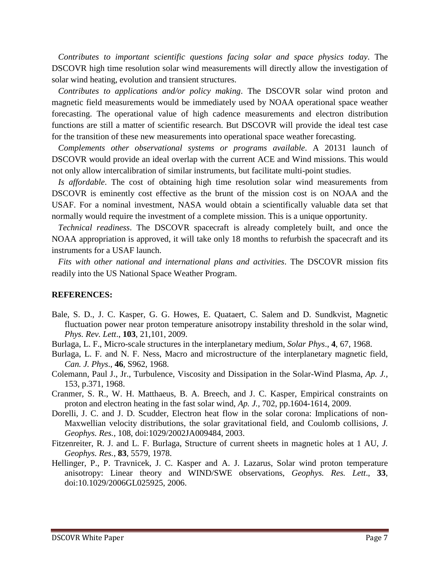*Contributes to important scientific questions facing solar and space physics today*. The DSCOVR high time resolution solar wind measurements will directly allow the investigation of solar wind heating, evolution and transient structures.

 *Contributes to applications and/or policy making*. The DSCOVR solar wind proton and magnetic field measurements would be immediately used by NOAA operational space weather forecasting. The operational value of high cadence measurements and electron distribution functions are still a matter of scientific research. But DSCOVR will provide the ideal test case for the transition of these new measurements into operational space weather forecasting.

 *Complements other observational systems or programs available*. A 20131 launch of DSCOVR would provide an ideal overlap with the current ACE and Wind missions. This would not only allow intercalibration of similar instruments, but facilitate multi-point studies.

 *Is affordable*. The cost of obtaining high time resolution solar wind measurements from DSCOVR is eminently cost effective as the brunt of the mission cost is on NOAA and the USAF. For a nominal investment, NASA would obtain a scientifically valuable data set that normally would require the investment of a complete mission. This is a unique opportunity.

 *Technical readiness*. The DSCOVR spacecraft is already completely built, and once the NOAA appropriation is approved, it will take only 18 months to refurbish the spacecraft and its instruments for a USAF launch.

 *Fits with other national and international plans and activities*. The DSCOVR mission fits readily into the US National Space Weather Program.

### **REFERENCES:**

- Bale, S. D., J. C. Kasper, G. G. Howes, E. Quataert, C. Salem and D. Sundkvist, Magnetic fluctuation power near proton temperature anisotropy instability threshold in the solar wind, *Phys. Rev. Lett*., **103**, 21,101, 2009.
- Burlaga, L. F., Micro-scale structures in the interplanetary medium, *Solar Phys*., **4**, 67, 1968.
- Burlaga, L. F. and N. F. Ness, Macro and microstructure of the interplanetary magnetic field, *Can. J. Phys*., **46**, S962, 1968.
- Colemann, Paul J., Jr., Turbulence, Viscosity and Dissipation in the Solar-Wind Plasma, *Ap. J.,*  153, p.371, 1968.
- Cranmer, S. R., W. H. Matthaeus, B. A. Breech, and J. C. Kasper, Empirical constraints on proton and electron heating in the fast solar wind, *Ap. J.,* 702, pp.1604-1614, 2009.
- Dorelli, J. C. and J. D. Scudder, Electron heat flow in the solar corona: Implications of non-Maxwellian velocity distributions, the solar gravitational field, and Coulomb collisions, *J. Geophys. Res.,* 108, doi:1029/2002JA009484, 2003.
- Fitzenreiter, R. J. and L. F. Burlaga, Structure of current sheets in magnetic holes at 1 AU, *J. Geophys. Res.*, **83**, 5579, 1978.
- Hellinger, P., P. Travnicek, J. C. Kasper and A. J. Lazarus, Solar wind proton temperature anisotropy: Linear theory and WIND/SWE observations, *Geophys. Res. Lett*., **33**, doi:10.1029/2006GL025925, 2006.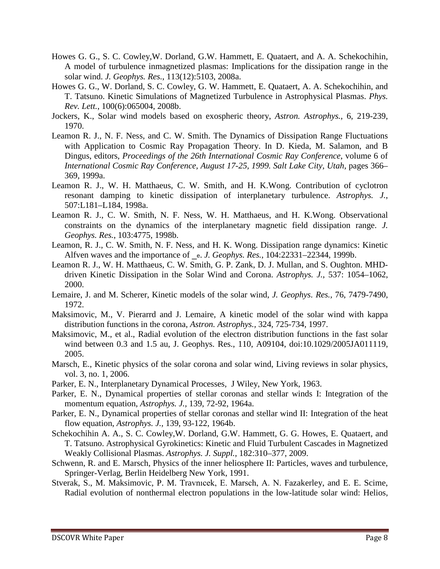- Howes G. G., S. C. Cowley,W. Dorland, G.W. Hammett, E. Quataert, and A. A. Schekochihin, A model of turbulence inmagnetized plasmas: Implications for the dissipation range in the solar wind. *J. Geophys. Res.*, 113(12):5103, 2008a.
- Howes G. G., W. Dorland, S. C. Cowley, G. W. Hammett, E. Quataert, A. A. Schekochihin, and T. Tatsuno. Kinetic Simulations of Magnetized Turbulence in Astrophysical Plasmas. *Phys. Rev. Lett.*, 100(6):065004, 2008b.
- Jockers, K., Solar wind models based on exospheric theory, *Astron. Astrophys.,* 6, 219-239, 1970.
- Leamon R. J., N. F. Ness, and C. W. Smith. The Dynamics of Dissipation Range Fluctuations with Application to Cosmic Ray Propagation Theory. In D. Kieda, M. Salamon, and B Dingus, editors, *Proceedings of the 26th International Cosmic Ray Conference*, volume 6 of *International Cosmic Ray Conference, August 17-25, 1999. Salt Lake City, Utah*, pages 366– 369, 1999a.
- Leamon R. J., W. H. Matthaeus, C. W. Smith, and H. K.Wong. Contribution of cyclotron resonant damping to kinetic dissipation of interplanetary turbulence. *Astrophys. J.*, 507:L181–L184, 1998a.
- Leamon R. J., C. W. Smith, N. F. Ness, W. H. Matthaeus, and H. K.Wong. Observational constraints on the dynamics of the interplanetary magnetic field dissipation range. *J. Geophys. Res.*, 103:4775, 1998b.
- Leamon, R. J., C. W. Smith, N. F. Ness, and H. K. Wong. Dissipation range dynamics: Kinetic Alfven waves and the importance of \_e. *J. Geophys. Res.*, 104:22331–22344, 1999b.
- Leamon R. J., W. H. Matthaeus, C. W. Smith, G. P. Zank, D. J. Mullan, and S. Oughton. MHDdriven Kinetic Dissipation in the Solar Wind and Corona. *Astrophys. J.*, 537: 1054–1062, 2000.
- Lemaire, J. and M. Scherer, Kinetic models of the solar wind, *J. Geophys. Res.,* 76, 7479-7490, 1972.
- Maksimovic, M., V. Pierarrd and J. Lemaire, A kinetic model of the solar wind with kappa distribution functions in the corona, *Astron. Astrophys.,* 324, 725-734, 1997.
- Maksimovic, M., et al., Radial evolution of the electron distribution functions in the fast solar wind between 0.3 and 1.5 au, J. Geophys. Res., 110, A09104, doi:10.1029/2005JA011119, 2005.
- Marsch, E., Kinetic physics of the solar corona and solar wind, Living reviews in solar physics, vol. 3, no. 1, 2006.
- Parker, E. N., Interplanetary Dynamical Processes, J Wiley, New York, 1963.
- Parker, E. N., Dynamical properties of stellar coronas and stellar winds I: Integration of the momentum equation, *Astrophys. J.,* 139, 72-92, 1964a.
- Parker, E. N., Dynamical properties of stellar coronas and stellar wind II: Integration of the heat flow equation, *Astrophys. J.,* 139, 93-122, 1964b.
- Schekochihin A. A., S. C. Cowley,W. Dorland, G.W. Hammett, G. G. Howes, E. Quataert, and T. Tatsuno. Astrophysical Gyrokinetics: Kinetic and Fluid Turbulent Cascades in Magnetized Weakly Collisional Plasmas. *Astrophys. J. Suppl.*, 182:310–377, 2009.
- Schwenn, R. and E. Marsch, Physics of the inner heliosphere II: Particles, waves and turbulence, Springer-Verlag, Berlin Heidelberg New York, 1991.
- Stverak, S., M. Maksimovic, P. M. Travnıcek, E. Marsch, A. N. Fazakerley, and E. E. Scime, Radial evolution of nonthermal electron populations in the low-latitude solar wind: Helios,